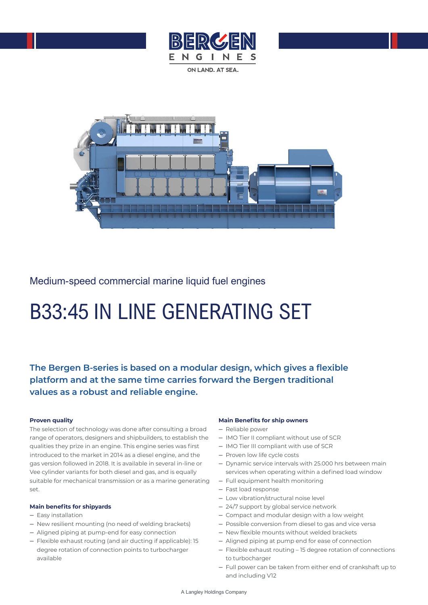

Medium-speed commercial marine liquid fuel engines

# B33:45 IN LINE GENERATING SET

**The Bergen B-series is based on a modular design, which gives a flexible platform and at the same time carries forward the Bergen traditional values as a robust and reliable engine.** 

## **Proven quality**

The selection of technology was done after consulting a broad range of operators, designers and shipbuilders, to establish the qualities they prize in an engine. This engine series was first introduced to the market in 2014 as a diesel engine, and the gas version followed in 2018. It is available in several in-line or Vee cylinder variants for both diesel and gas, and is equally suitable for mechanical transmission or as a marine generating set.

## **Main benefits for shipyards**

- Easy installation
- New resilient mounting (no need of welding brackets)
- Aligned piping at pump-end for easy connection
- Flexible exhaust routing (and air ducting if applicable): 15 degree rotation of connection points to turbocharger available

## **Main Benefits for ship owners**

- Reliable power
- IMO Tier II compliant without use of SCR
- IMO Tier III compliant with use of SCR
- Proven low life cycle costs
- Dynamic service intervals with 25.000 hrs between main services when operating within a defined load window
- Full equipment health monitoring
- Fast load response
- Low vibration/structural noise level
- 24/7 support by global service network
- Compact and modular design with a low weight
- Possible conversion from diesel to gas and vice versa
- New flexible mounts without welded brackets
- Aligned piping at pump end for ease of connection
- Flexible exhaust routing 15 degree rotation of connections to turbocharger
- Full power can be taken from either end of crankshaft up to and including V12